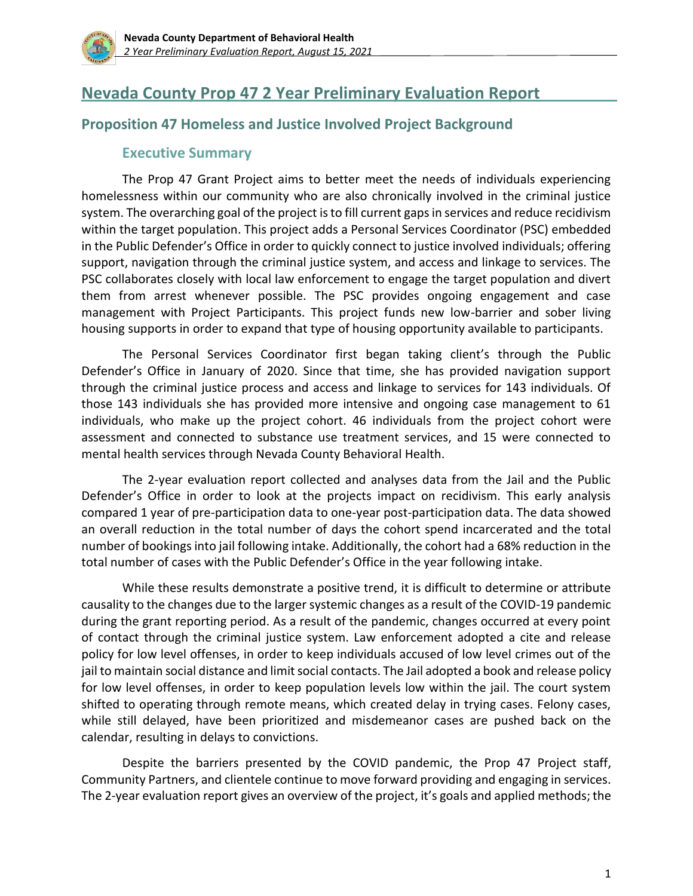

# **Nevada County Prop 47 2 Year Preliminary Evaluation Report**

### **Proposition 47 Homeless and Justice Involved Project Background**

#### **Executive Summary**

The Prop 47 Grant Project aims to better meet the needs of individuals experiencing homelessness within our community who are also chronically involved in the criminal justice system. The overarching goal of the project is to fill current gaps in services and reduce recidivism within the target population. This project adds a Personal Services Coordinator (PSC) embedded in the Public Defender's Office in order to quickly connect to justice involved individuals; offering support, navigation through the criminal justice system, and access and linkage to services. The PSC collaborates closely with local law enforcement to engage the target population and divert them from arrest whenever possible. The PSC provides ongoing engagement and case management with Project Participants. This project funds new low-barrier and sober living housing supports in order to expand that type of housing opportunity available to participants.

The Personal Services Coordinator first began taking client's through the Public Defender's Office in January of 2020. Since that time, she has provided navigation support through the criminal justice process and access and linkage to services for 143 individuals. Of those 143 individuals she has provided more intensive and ongoing case management to 61 individuals, who make up the project cohort. 46 individuals from the project cohort were assessment and connected to substance use treatment services, and 15 were connected to mental health services through Nevada County Behavioral Health.

The 2-year evaluation report collected and analyses data from the Jail and the Public Defender's Office in order to look at the projects impact on recidivism. This early analysis compared 1 year of pre-participation data to one-year post-participation data. The data showed an overall reduction in the total number of days the cohort spend incarcerated and the total number of bookings into jail following intake. Additionally, the cohort had a 68% reduction in the total number of cases with the Public Defender's Office in the year following intake.

While these results demonstrate a positive trend, it is difficult to determine or attribute causality to the changes due to the larger systemic changes as a result of the COVID-19 pandemic during the grant reporting period. As a result of the pandemic, changes occurred at every point of contact through the criminal justice system. Law enforcement adopted a cite and release policy for low level offenses, in order to keep individuals accused of low level crimes out of the jail to maintain social distance and limit social contacts. The Jail adopted a book and release policy for low level offenses, in order to keep population levels low within the jail. The court system shifted to operating through remote means, which created delay in trying cases. Felony cases, while still delayed, have been prioritized and misdemeanor cases are pushed back on the calendar, resulting in delays to convictions.

Despite the barriers presented by the COVID pandemic, the Prop 47 Project staff, Community Partners, and clientele continue to move forward providing and engaging in services. The 2-year evaluation report gives an overview of the project, it's goals and applied methods; the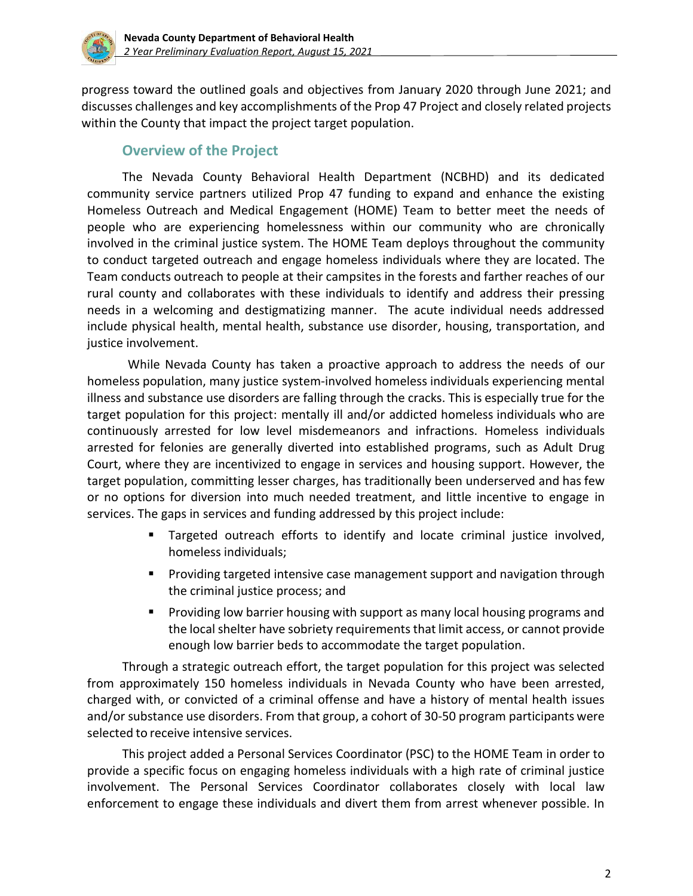

progress toward the outlined goals and objectives from January 2020 through June 2021; and discusses challenges and key accomplishments of the Prop 47 Project and closely related projects within the County that impact the project target population.

### **Overview of the Project**

The Nevada County Behavioral Health Department (NCBHD) and its dedicated community service partners utilized Prop 47 funding to expand and enhance the existing Homeless Outreach and Medical Engagement (HOME) Team to better meet the needs of people who are experiencing homelessness within our community who are chronically involved in the criminal justice system. The HOME Team deploys throughout the community to conduct targeted outreach and engage homeless individuals where they are located. The Team conducts outreach to people at their campsites in the forests and farther reaches of our rural county and collaborates with these individuals to identify and address their pressing needs in a welcoming and destigmatizing manner. The acute individual needs addressed include physical health, mental health, substance use disorder, housing, transportation, and justice involvement.

While Nevada County has taken a proactive approach to address the needs of our homeless population, many justice system-involved homeless individuals experiencing mental illness and substance use disorders are falling through the cracks. This is especially true for the target population for this project: mentally ill and/or addicted homeless individuals who are continuously arrested for low level misdemeanors and infractions. Homeless individuals arrested for felonies are generally diverted into established programs, such as Adult Drug Court, where they are incentivized to engage in services and housing support. However, the target population, committing lesser charges, has traditionally been underserved and has few or no options for diversion into much needed treatment, and little incentive to engage in services. The gaps in services and funding addressed by this project include:

- **EXT** Targeted outreach efforts to identify and locate criminal justice involved, homeless individuals;
- Providing targeted intensive case management support and navigation through the criminal justice process; and
- **•** Providing low barrier housing with support as many local housing programs and the local shelter have sobriety requirements that limit access, or cannot provide enough low barrier beds to accommodate the target population.

Through a strategic outreach effort, the target population for this project was selected from approximately 150 homeless individuals in Nevada County who have been arrested, charged with, or convicted of a criminal offense and have a history of mental health issues and/or substance use disorders. From that group, a cohort of 30-50 program participants were selected to receive intensive services.

This project added a Personal Services Coordinator (PSC) to the HOME Team in order to provide a specific focus on engaging homeless individuals with a high rate of criminal justice involvement. The Personal Services Coordinator collaborates closely with local law enforcement to engage these individuals and divert them from arrest whenever possible. In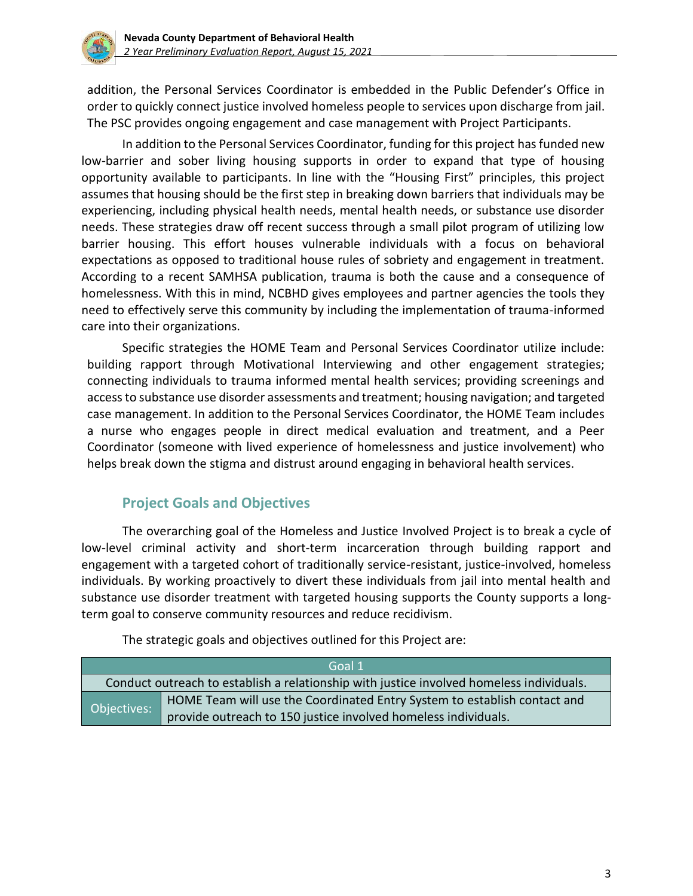

addition, the Personal Services Coordinator is embedded in the Public Defender's Office in order to quickly connect justice involved homeless people to services upon discharge from jail. The PSC provides ongoing engagement and case management with Project Participants.

In addition to the Personal Services Coordinator, funding for this project has funded new low-barrier and sober living housing supports in order to expand that type of housing opportunity available to participants. In line with the "Housing First" principles, this project assumes that housing should be the first step in breaking down barriers that individuals may be experiencing, including physical health needs, mental health needs, or substance use disorder needs. These strategies draw off recent success through a small pilot program of utilizing low barrier housing. This effort houses vulnerable individuals with a focus on behavioral expectations as opposed to traditional house rules of sobriety and engagement in treatment. According to a recent SAMHSA publication, trauma is both the cause and a consequence of homelessness. With this in mind, NCBHD gives employees and partner agencies the tools they need to effectively serve this community by including the implementation of trauma-informed care into their organizations.

Specific strategies the HOME Team and Personal Services Coordinator utilize include: building rapport through Motivational Interviewing and other engagement strategies; connecting individuals to trauma informed mental health services; providing screenings and access to substance use disorder assessments and treatment; housing navigation; and targeted case management. In addition to the Personal Services Coordinator, the HOME Team includes a nurse who engages people in direct medical evaluation and treatment, and a Peer Coordinator (someone with lived experience of homelessness and justice involvement) who helps break down the stigma and distrust around engaging in behavioral health services.

## **Project Goals and Objectives**

The overarching goal of the Homeless and Justice Involved Project is to break a cycle of low-level criminal activity and short-term incarceration through building rapport and engagement with a targeted cohort of traditionally service-resistant, justice-involved, homeless individuals. By working proactively to divert these individuals from jail into mental health and substance use disorder treatment with targeted housing supports the County supports a longterm goal to conserve community resources and reduce recidivism.

| Goal 1      |                                                                                          |  |
|-------------|------------------------------------------------------------------------------------------|--|
|             | Conduct outreach to establish a relationship with justice involved homeless individuals. |  |
| Objectives: | HOME Team will use the Coordinated Entry System to establish contact and                 |  |
|             | provide outreach to 150 justice involved homeless individuals.                           |  |

The strategic goals and objectives outlined for this Project are: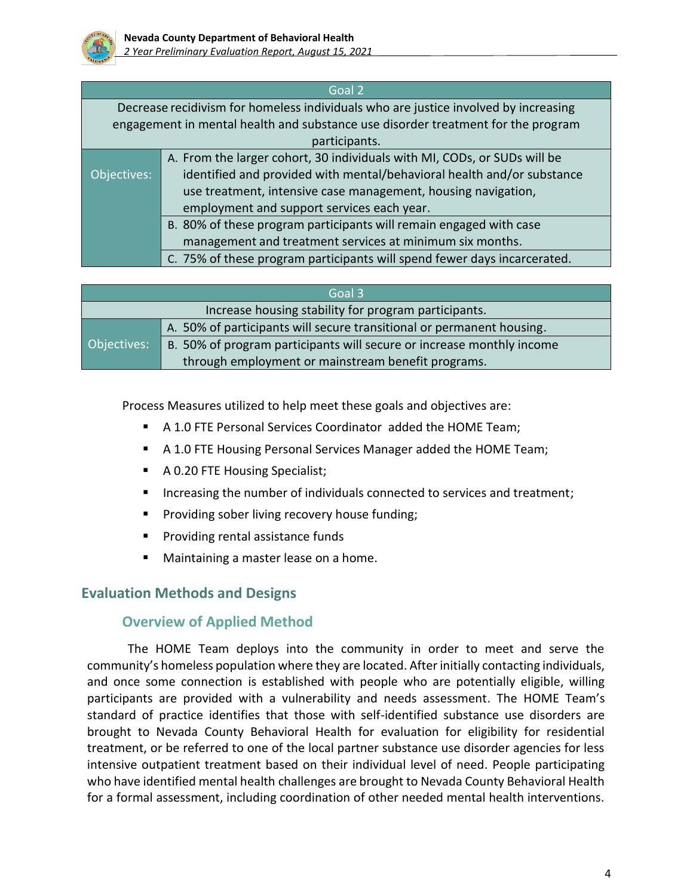

|             | Goal 2                                                                              |  |  |
|-------------|-------------------------------------------------------------------------------------|--|--|
|             | Decrease recidivism for homeless individuals who are justice involved by increasing |  |  |
|             | engagement in mental health and substance use disorder treatment for the program    |  |  |
|             | participants.                                                                       |  |  |
|             | A. From the larger cohort, 30 individuals with MI, CODs, or SUDs will be            |  |  |
| Objectives: | identified and provided with mental/behavioral health and/or substance              |  |  |
|             | use treatment, intensive case management, housing navigation,                       |  |  |
|             | employment and support services each year.                                          |  |  |
|             | B. 80% of these program participants will remain engaged with case                  |  |  |
|             | management and treatment services at minimum six months.                            |  |  |
|             | C. 75% of these program participants will spend fewer days incarcerated.            |  |  |

|             | Goal 3                                                                |
|-------------|-----------------------------------------------------------------------|
|             | Increase housing stability for program participants.                  |
|             | A. 50% of participants will secure transitional or permanent housing. |
| Objectives: | B. 50% of program participants will secure or increase monthly income |
|             | through employment or mainstream benefit programs.                    |

Process Measures utilized to help meet these goals and objectives are:

- A 1.0 FTE Personal Services Coordinator added the HOME Team;
- A 1.0 FTE Housing Personal Services Manager added the HOME Team;
- A 0.20 FTE Housing Specialist;
- Increasing the number of individuals connected to services and treatment;
- Providing sober living recovery house funding;
- Providing rental assistance funds
- Maintaining a master lease on a home.

## **Evaluation Methods and Designs**

### **Overview of Applied Method**

The HOME Team deploys into the community in order to meet and serve the community's homeless population where they are located. After initially contacting individuals, and once some connection is established with people who are potentially eligible, willing participants are provided with a vulnerability and needs assessment. The HOME Team's standard of practice identifies that those with self-identified substance use disorders are brought to Nevada County Behavioral Health for evaluation for eligibility for residential treatment, or be referred to one of the local partner substance use disorder agencies for less intensive outpatient treatment based on their individual level of need. People participating who have identified mental health challenges are brought to Nevada County Behavioral Health for a formal assessment, including coordination of other needed mental health interventions.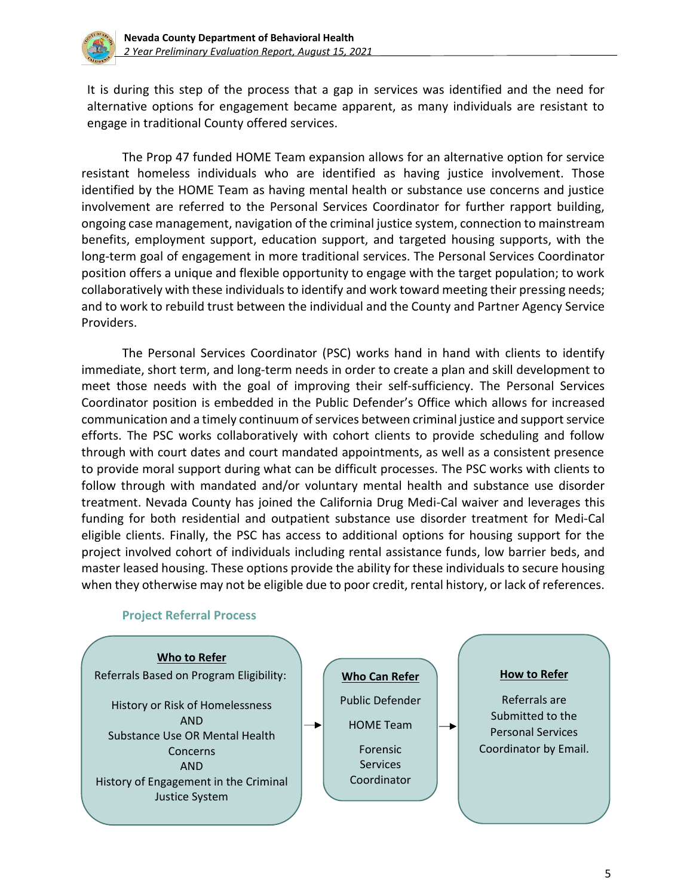

It is during this step of the process that a gap in services was identified and the need for alternative options for engagement became apparent, as many individuals are resistant to engage in traditional County offered services.

The Prop 47 funded HOME Team expansion allows for an alternative option for service resistant homeless individuals who are identified as having justice involvement. Those identified by the HOME Team as having mental health or substance use concerns and justice involvement are referred to the Personal Services Coordinator for further rapport building, ongoing case management, navigation of the criminal justice system, connection to mainstream benefits, employment support, education support, and targeted housing supports, with the long-term goal of engagement in more traditional services. The Personal Services Coordinator position offers a unique and flexible opportunity to engage with the target population; to work collaboratively with these individuals to identify and work toward meeting their pressing needs; and to work to rebuild trust between the individual and the County and Partner Agency Service Providers.

The Personal Services Coordinator (PSC) works hand in hand with clients to identify immediate, short term, and long-term needs in order to create a plan and skill development to meet those needs with the goal of improving their self-sufficiency. The Personal Services Coordinator position is embedded in the Public Defender's Office which allows for increased communication and a timely continuum of services between criminal justice and support service efforts. The PSC works collaboratively with cohort clients to provide scheduling and follow through with court dates and court mandated appointments, as well as a consistent presence to provide moral support during what can be difficult processes. The PSC works with clients to follow through with mandated and/or voluntary mental health and substance use disorder treatment. Nevada County has joined the California Drug Medi-Cal waiver and leverages this funding for both residential and outpatient substance use disorder treatment for Medi-Cal eligible clients. Finally, the PSC has access to additional options for housing support for the project involved cohort of individuals including rental assistance funds, low barrier beds, and master leased housing. These options provide the ability for these individuals to secure housing when they otherwise may not be eligible due to poor credit, rental history, or lack of references.



#### **Project Referral Process**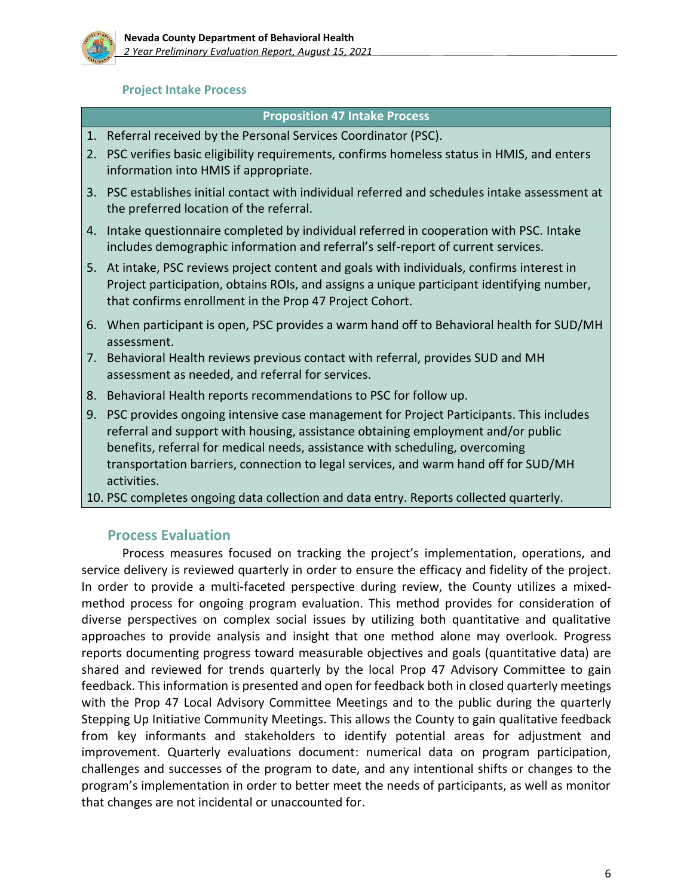

#### **Project Intake Process**

#### **Proposition 47 Intake Process**

- 1. Referral received by the Personal Services Coordinator (PSC).
- 2. PSC verifies basic eligibility requirements, confirms homeless status in HMIS, and enters information into HMIS if appropriate.
- 3. PSC establishes initial contact with individual referred and schedules intake assessment at the preferred location of the referral.
- 4. Intake questionnaire completed by individual referred in cooperation with PSC. Intake includes demographic information and referral's self-report of current services.
- 5. At intake, PSC reviews project content and goals with individuals, confirms interest in Project participation, obtains ROIs, and assigns a unique participant identifying number, that confirms enrollment in the Prop 47 Project Cohort.
- 6. When participant is open, PSC provides a warm hand off to Behavioral health for SUD/MH assessment.
- 7. Behavioral Health reviews previous contact with referral, provides SUD and MH assessment as needed, and referral for services.
- 8. Behavioral Health reports recommendations to PSC for follow up.
- 9. PSC provides ongoing intensive case management for Project Participants. This includes referral and support with housing, assistance obtaining employment and/or public benefits, referral for medical needs, assistance with scheduling, overcoming transportation barriers, connection to legal services, and warm hand off for SUD/MH activities.
- 10. PSC completes ongoing data collection and data entry. Reports collected quarterly.

### **Process Evaluation**

Process measures focused on tracking the project's implementation, operations, and service delivery is reviewed quarterly in order to ensure the efficacy and fidelity of the project. In order to provide a multi-faceted perspective during review, the County utilizes a mixedmethod process for ongoing program evaluation. This method provides for consideration of diverse perspectives on complex social issues by utilizing both quantitative and qualitative approaches to provide analysis and insight that one method alone may overlook. Progress reports documenting progress toward measurable objectives and goals (quantitative data) are shared and reviewed for trends quarterly by the local Prop 47 Advisory Committee to gain feedback. This information is presented and open for feedback both in closed quarterly meetings with the Prop 47 Local Advisory Committee Meetings and to the public during the quarterly Stepping Up Initiative Community Meetings. This allows the County to gain qualitative feedback from key informants and stakeholders to identify potential areas for adjustment and improvement. Quarterly evaluations document: numerical data on program participation, challenges and successes of the program to date, and any intentional shifts or changes to the program's implementation in order to better meet the needs of participants, as well as monitor that changes are not incidental or unaccounted for.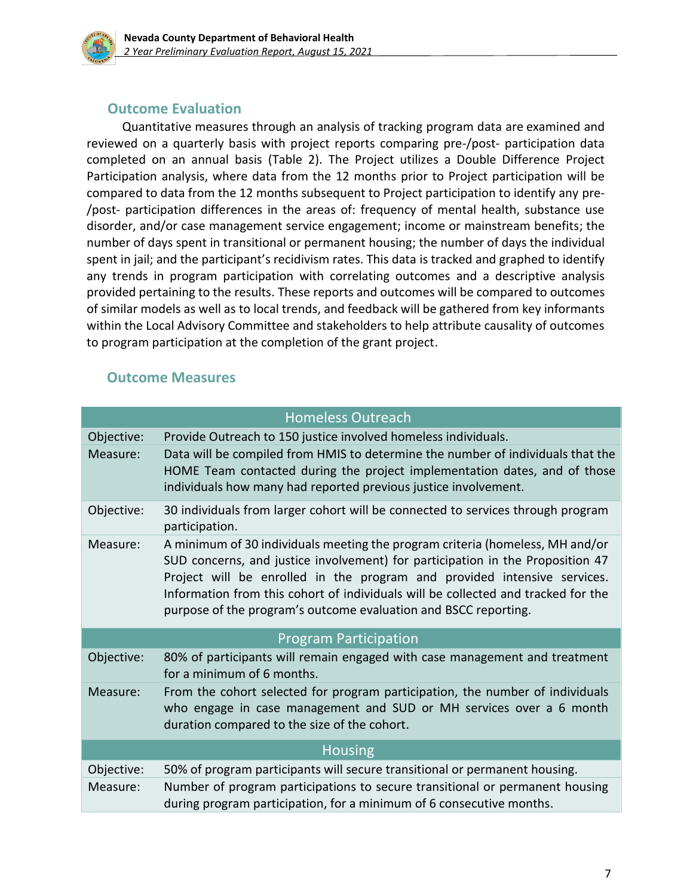

### **Outcome Evaluation**

Quantitative measures through an analysis of tracking program data are examined and reviewed on a quarterly basis with project reports comparing pre-/post- participation data completed on an annual basis (Table 2). The Project utilizes a Double Difference Project Participation analysis, where data from the 12 months prior to Project participation will be compared to data from the 12 months subsequent to Project participation to identify any pre- /post- participation differences in the areas of: frequency of mental health, substance use disorder, and/or case management service engagement; income or mainstream benefits; the number of days spent in transitional or permanent housing; the number of days the individual spent in jail; and the participant's recidivism rates. This data is tracked and graphed to identify any trends in program participation with correlating outcomes and a descriptive analysis provided pertaining to the results. These reports and outcomes will be compared to outcomes of similar models as well as to local trends, and feedback will be gathered from key informants within the Local Advisory Committee and stakeholders to help attribute causality of outcomes to program participation at the completion of the grant project.

### **Outcome Measures**

|                | <b>Homeless Outreach</b>                                                                                                                                                                                                                                                                                                                                                                            |  |  |
|----------------|-----------------------------------------------------------------------------------------------------------------------------------------------------------------------------------------------------------------------------------------------------------------------------------------------------------------------------------------------------------------------------------------------------|--|--|
| Objective:     | Provide Outreach to 150 justice involved homeless individuals.                                                                                                                                                                                                                                                                                                                                      |  |  |
| Measure:       | Data will be compiled from HMIS to determine the number of individuals that the<br>HOME Team contacted during the project implementation dates, and of those<br>individuals how many had reported previous justice involvement.                                                                                                                                                                     |  |  |
| Objective:     | 30 individuals from larger cohort will be connected to services through program<br>participation.                                                                                                                                                                                                                                                                                                   |  |  |
| Measure:       | A minimum of 30 individuals meeting the program criteria (homeless, MH and/or<br>SUD concerns, and justice involvement) for participation in the Proposition 47<br>Project will be enrolled in the program and provided intensive services.<br>Information from this cohort of individuals will be collected and tracked for the<br>purpose of the program's outcome evaluation and BSCC reporting. |  |  |
|                | <b>Program Participation</b>                                                                                                                                                                                                                                                                                                                                                                        |  |  |
| Objective:     | 80% of participants will remain engaged with case management and treatment<br>for a minimum of 6 months.                                                                                                                                                                                                                                                                                            |  |  |
| Measure:       | From the cohort selected for program participation, the number of individuals<br>who engage in case management and SUD or MH services over a 6 month<br>duration compared to the size of the cohort.                                                                                                                                                                                                |  |  |
| <b>Housing</b> |                                                                                                                                                                                                                                                                                                                                                                                                     |  |  |
| Objective:     | 50% of program participants will secure transitional or permanent housing.                                                                                                                                                                                                                                                                                                                          |  |  |
| Measure:       | Number of program participations to secure transitional or permanent housing<br>during program participation, for a minimum of 6 consecutive months.                                                                                                                                                                                                                                                |  |  |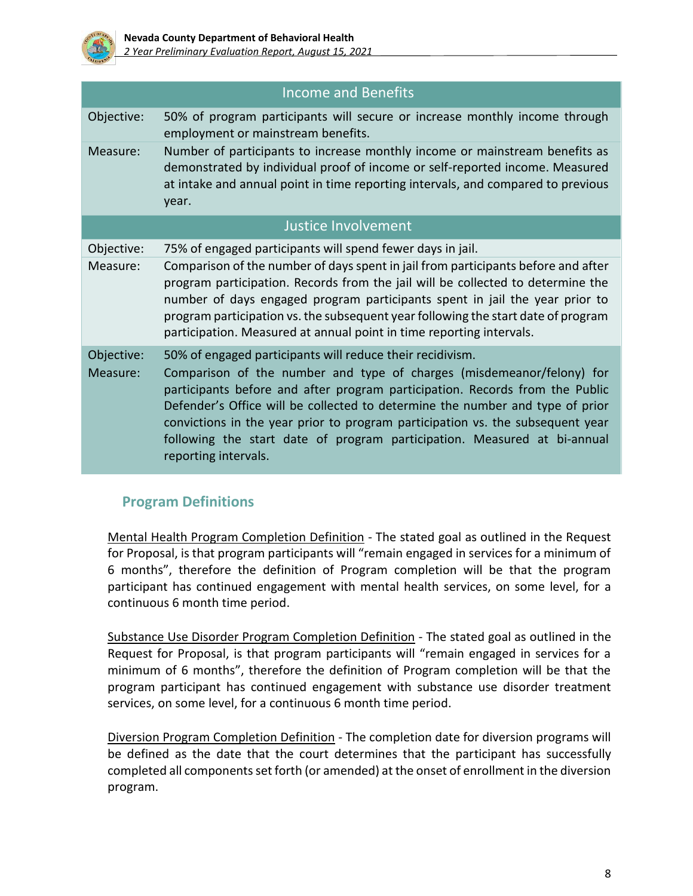

|                        | <b>Income and Benefits</b>                                                                                                                                                                                                                                                                                                                                                                                                                                                                |
|------------------------|-------------------------------------------------------------------------------------------------------------------------------------------------------------------------------------------------------------------------------------------------------------------------------------------------------------------------------------------------------------------------------------------------------------------------------------------------------------------------------------------|
| Objective:             | 50% of program participants will secure or increase monthly income through<br>employment or mainstream benefits.                                                                                                                                                                                                                                                                                                                                                                          |
| Measure:               | Number of participants to increase monthly income or mainstream benefits as<br>demonstrated by individual proof of income or self-reported income. Measured<br>at intake and annual point in time reporting intervals, and compared to previous<br>year.                                                                                                                                                                                                                                  |
|                        | Justice Involvement                                                                                                                                                                                                                                                                                                                                                                                                                                                                       |
| Objective:             | 75% of engaged participants will spend fewer days in jail.                                                                                                                                                                                                                                                                                                                                                                                                                                |
| Measure:               | Comparison of the number of days spent in jail from participants before and after<br>program participation. Records from the jail will be collected to determine the<br>number of days engaged program participants spent in jail the year prior to<br>program participation vs. the subsequent year following the start date of program<br>participation. Measured at annual point in time reporting intervals.                                                                          |
| Objective:<br>Measure: | 50% of engaged participants will reduce their recidivism.<br>Comparison of the number and type of charges (misdemeanor/felony) for<br>participants before and after program participation. Records from the Public<br>Defender's Office will be collected to determine the number and type of prior<br>convictions in the year prior to program participation vs. the subsequent year<br>following the start date of program participation. Measured at bi-annual<br>reporting intervals. |

## **Program Definitions**

Mental Health Program Completion Definition - The stated goal as outlined in the Request for Proposal, is that program participants will "remain engaged in services for a minimum of 6 months", therefore the definition of Program completion will be that the program participant has continued engagement with mental health services, on some level, for a continuous 6 month time period.

Substance Use Disorder Program Completion Definition - The stated goal as outlined in the Request for Proposal, is that program participants will "remain engaged in services for a minimum of 6 months", therefore the definition of Program completion will be that the program participant has continued engagement with substance use disorder treatment services, on some level, for a continuous 6 month time period.

Diversion Program Completion Definition - The completion date for diversion programs will be defined as the date that the court determines that the participant has successfully completed all components set forth (or amended) at the onset of enrollment in the diversion program.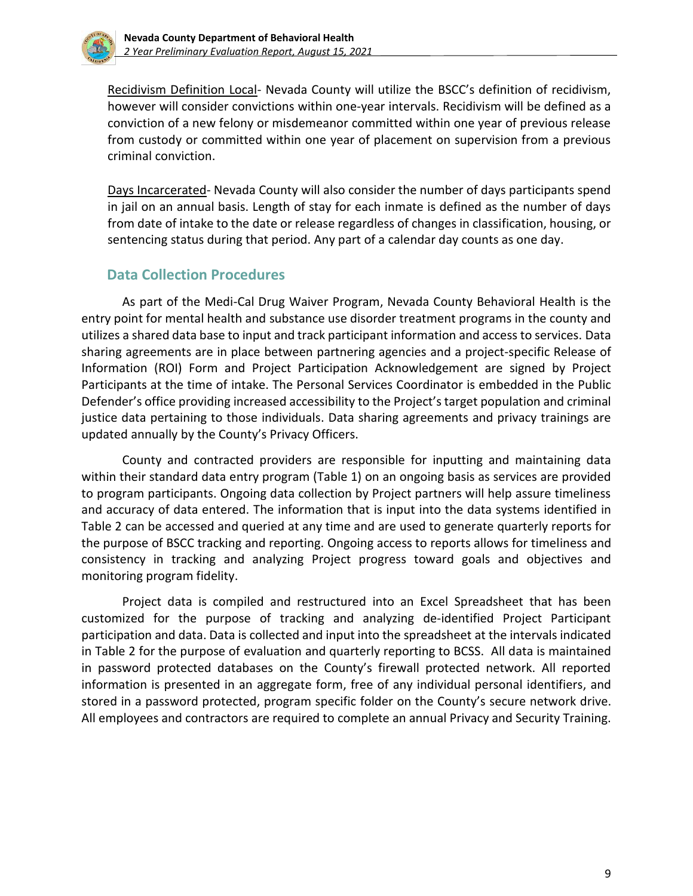

Recidivism Definition Local- Nevada County will utilize the BSCC's definition of recidivism, however will consider convictions within one-year intervals. Recidivism will be defined as a conviction of a new felony or misdemeanor committed within one year of previous release from custody or committed within one year of placement on supervision from a previous criminal conviction.

Days Incarcerated- Nevada County will also consider the number of days participants spend in jail on an annual basis. Length of stay for each inmate is defined as the number of days from date of intake to the date or release regardless of changes in classification, housing, or sentencing status during that period. Any part of a calendar day counts as one day.

## **Data Collection Procedures**

As part of the Medi-Cal Drug Waiver Program, Nevada County Behavioral Health is the entry point for mental health and substance use disorder treatment programs in the county and utilizes a shared data base to input and track participant information and access to services. Data sharing agreements are in place between partnering agencies and a project-specific Release of Information (ROI) Form and Project Participation Acknowledgement are signed by Project Participants at the time of intake. The Personal Services Coordinator is embedded in the Public Defender's office providing increased accessibility to the Project's target population and criminal justice data pertaining to those individuals. Data sharing agreements and privacy trainings are updated annually by the County's Privacy Officers.

County and contracted providers are responsible for inputting and maintaining data within their standard data entry program (Table 1) on an ongoing basis as services are provided to program participants. Ongoing data collection by Project partners will help assure timeliness and accuracy of data entered. The information that is input into the data systems identified in Table 2 can be accessed and queried at any time and are used to generate quarterly reports for the purpose of BSCC tracking and reporting. Ongoing access to reports allows for timeliness and consistency in tracking and analyzing Project progress toward goals and objectives and monitoring program fidelity.

Project data is compiled and restructured into an Excel Spreadsheet that has been customized for the purpose of tracking and analyzing de-identified Project Participant participation and data. Data is collected and input into the spreadsheet at the intervals indicated in Table 2 for the purpose of evaluation and quarterly reporting to BCSS. All data is maintained in password protected databases on the County's firewall protected network. All reported information is presented in an aggregate form, free of any individual personal identifiers, and stored in a password protected, program specific folder on the County's secure network drive. All employees and contractors are required to complete an annual Privacy and Security Training.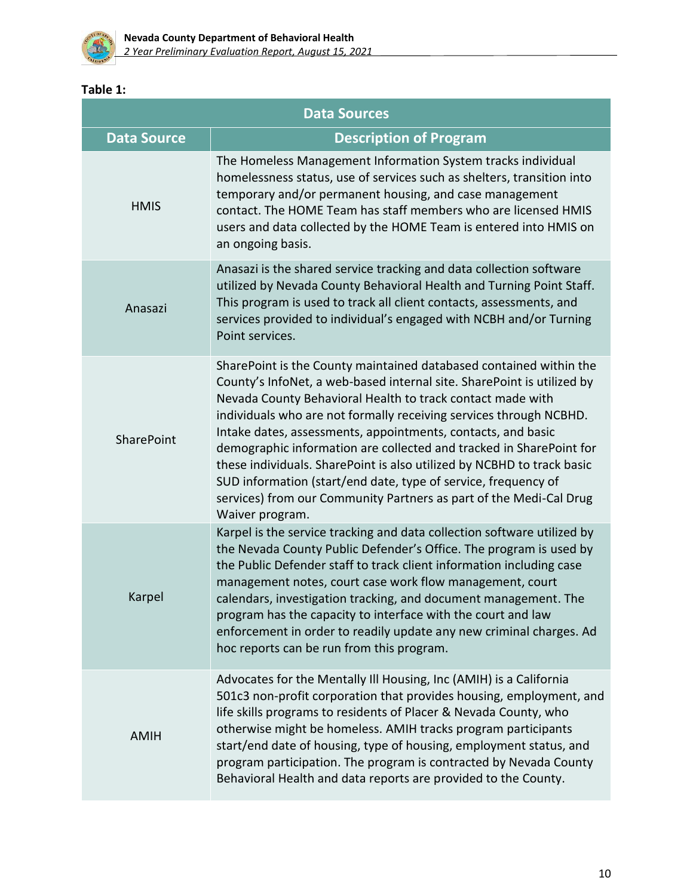

### **Table 1:**

| <b>Data Sources</b> |                                                                                                                                                                                                                                                                                                                                                                                                                                                                                                                                                                                                                                                              |  |  |
|---------------------|--------------------------------------------------------------------------------------------------------------------------------------------------------------------------------------------------------------------------------------------------------------------------------------------------------------------------------------------------------------------------------------------------------------------------------------------------------------------------------------------------------------------------------------------------------------------------------------------------------------------------------------------------------------|--|--|
| <b>Data Source</b>  | <b>Description of Program</b>                                                                                                                                                                                                                                                                                                                                                                                                                                                                                                                                                                                                                                |  |  |
| <b>HMIS</b>         | The Homeless Management Information System tracks individual<br>homelessness status, use of services such as shelters, transition into<br>temporary and/or permanent housing, and case management<br>contact. The HOME Team has staff members who are licensed HMIS<br>users and data collected by the HOME Team is entered into HMIS on<br>an ongoing basis.                                                                                                                                                                                                                                                                                                |  |  |
| Anasazi             | Anasazi is the shared service tracking and data collection software<br>utilized by Nevada County Behavioral Health and Turning Point Staff.<br>This program is used to track all client contacts, assessments, and<br>services provided to individual's engaged with NCBH and/or Turning<br>Point services.                                                                                                                                                                                                                                                                                                                                                  |  |  |
| SharePoint          | SharePoint is the County maintained databased contained within the<br>County's InfoNet, a web-based internal site. SharePoint is utilized by<br>Nevada County Behavioral Health to track contact made with<br>individuals who are not formally receiving services through NCBHD.<br>Intake dates, assessments, appointments, contacts, and basic<br>demographic information are collected and tracked in SharePoint for<br>these individuals. SharePoint is also utilized by NCBHD to track basic<br>SUD information (start/end date, type of service, frequency of<br>services) from our Community Partners as part of the Medi-Cal Drug<br>Waiver program. |  |  |
| Karpel              | Karpel is the service tracking and data collection software utilized by<br>the Nevada County Public Defender's Office. The program is used by<br>the Public Defender staff to track client information including case<br>management notes, court case work flow management, court<br>calendars, investigation tracking, and document management. The<br>program has the capacity to interface with the court and law<br>enforcement in order to readily update any new criminal charges. Ad<br>hoc reports can be run from this program.                                                                                                                     |  |  |
| <b>AMIH</b>         | Advocates for the Mentally Ill Housing, Inc (AMIH) is a California<br>501c3 non-profit corporation that provides housing, employment, and<br>life skills programs to residents of Placer & Nevada County, who<br>otherwise might be homeless. AMIH tracks program participants<br>start/end date of housing, type of housing, employment status, and<br>program participation. The program is contracted by Nevada County<br>Behavioral Health and data reports are provided to the County.                                                                                                                                                                  |  |  |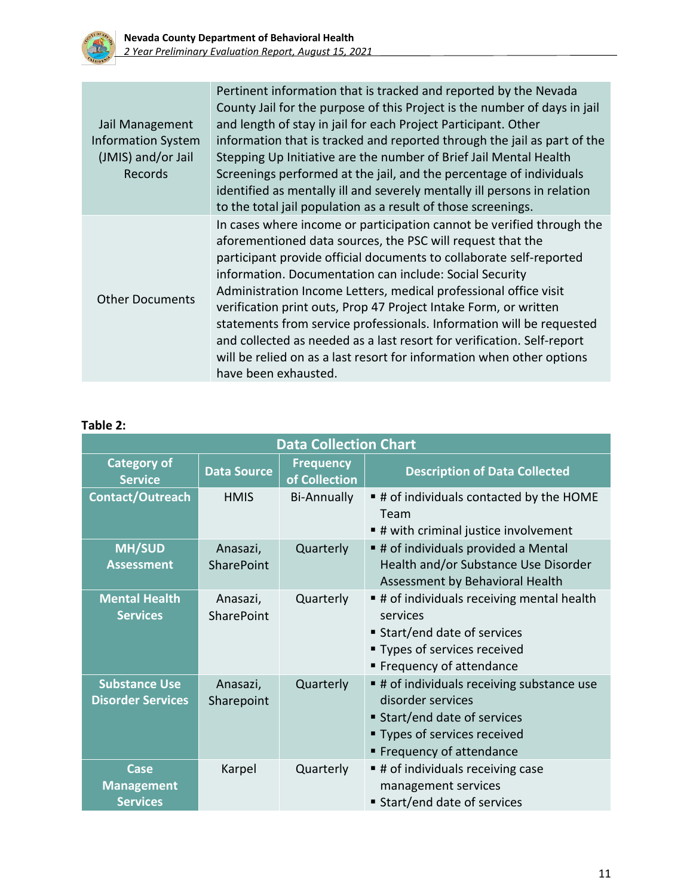

| Jail Management<br><b>Information System</b><br>(JMIS) and/or Jail<br>Records | Pertinent information that is tracked and reported by the Nevada<br>County Jail for the purpose of this Project is the number of days in jail<br>and length of stay in jail for each Project Participant. Other<br>information that is tracked and reported through the jail as part of the<br>Stepping Up Initiative are the number of Brief Jail Mental Health<br>Screenings performed at the jail, and the percentage of individuals<br>identified as mentally ill and severely mentally ill persons in relation<br>to the total jail population as a result of those screenings.                                                                             |
|-------------------------------------------------------------------------------|------------------------------------------------------------------------------------------------------------------------------------------------------------------------------------------------------------------------------------------------------------------------------------------------------------------------------------------------------------------------------------------------------------------------------------------------------------------------------------------------------------------------------------------------------------------------------------------------------------------------------------------------------------------|
| <b>Other Documents</b>                                                        | In cases where income or participation cannot be verified through the<br>aforementioned data sources, the PSC will request that the<br>participant provide official documents to collaborate self-reported<br>information. Documentation can include: Social Security<br>Administration Income Letters, medical professional office visit<br>verification print outs, Prop 47 Project Intake Form, or written<br>statements from service professionals. Information will be requested<br>and collected as needed as a last resort for verification. Self-report<br>will be relied on as a last resort for information when other options<br>have been exhausted. |

## **Table 2:**

| <b>Data Collection Chart</b>                     |                               |                                   |                                                                                                                                                            |  |
|--------------------------------------------------|-------------------------------|-----------------------------------|------------------------------------------------------------------------------------------------------------------------------------------------------------|--|
| <b>Category of</b><br><b>Service</b>             | <b>Data Source</b>            | <b>Frequency</b><br>of Collection | <b>Description of Data Collected</b>                                                                                                                       |  |
| Contact/Outreach                                 | <b>HMIS</b>                   | <b>Bi-Annually</b>                | # of individuals contacted by the HOME<br>Team<br>■ # with criminal justice involvement                                                                    |  |
| <b>MH/SUD</b><br><b>Assessment</b>               | Anasazi,<br><b>SharePoint</b> | Quarterly                         | # of individuals provided a Mental<br>Health and/or Substance Use Disorder<br>Assessment by Behavioral Health                                              |  |
| <b>Mental Health</b><br><b>Services</b>          | Anasazi,<br>SharePoint        | Quarterly                         | # of individuals receiving mental health<br>services<br>Start/end date of services<br>■ Types of services received<br>■ Frequency of attendance            |  |
| <b>Substance Use</b><br><b>Disorder Services</b> | Anasazi,<br>Sharepoint        | Quarterly                         | # of individuals receiving substance use<br>disorder services<br>■ Start/end date of services<br>" Types of services received<br>■ Frequency of attendance |  |
| Case<br><b>Management</b><br><b>Services</b>     | Karpel                        | Quarterly                         | # of individuals receiving case<br>management services<br>■ Start/end date of services                                                                     |  |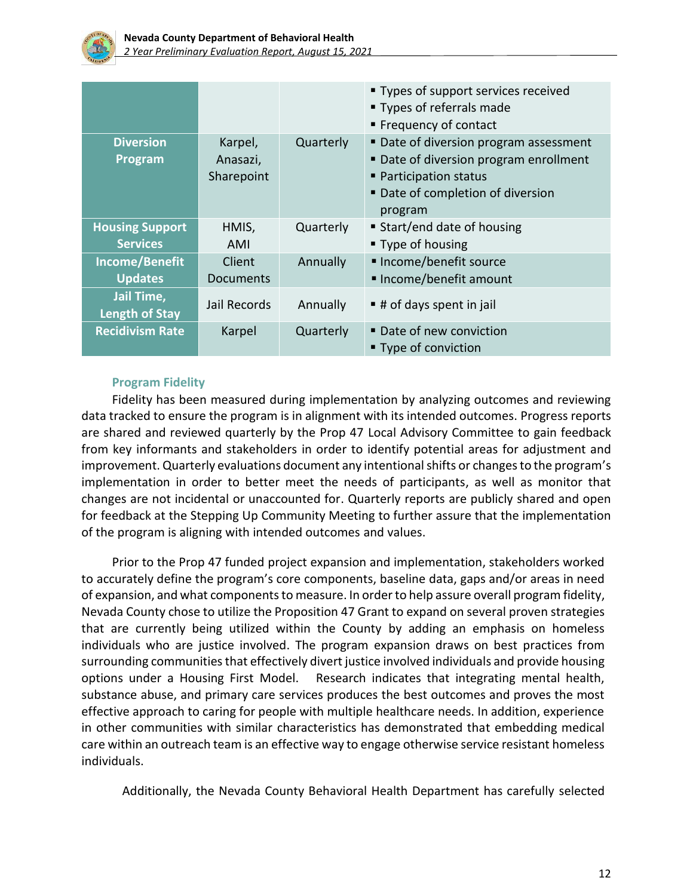

|                                           |                     |           | " Types of support services received<br>■ Types of referrals made<br>■ Frequency of contact |
|-------------------------------------------|---------------------|-----------|---------------------------------------------------------------------------------------------|
| <b>Diversion</b><br>Program               | Karpel,<br>Anasazi, | Quarterly | • Date of diversion program assessment<br>■ Date of diversion program enrollment            |
|                                           | Sharepoint          |           | • Participation status<br>■ Date of completion of diversion<br>program                      |
| <b>Housing Support</b><br><b>Services</b> | HMIS,<br>AMI        | Quarterly | ■ Start/end date of housing<br>■ Type of housing                                            |
| Income/Benefit<br><b>Updates</b>          | Client<br>Documents | Annually  | ■ Income/benefit source<br>■ Income/benefit amount                                          |
| Jail Time,<br><b>Length of Stay</b>       | Jail Records        | Annually  | $\blacksquare$ # of days spent in jail                                                      |
| <b>Recidivism Rate</b>                    | Karpel              | Quarterly | Date of new conviction<br>■ Type of conviction                                              |

### **Program Fidelity**

Fidelity has been measured during implementation by analyzing outcomes and reviewing data tracked to ensure the program is in alignment with its intended outcomes. Progress reports are shared and reviewed quarterly by the Prop 47 Local Advisory Committee to gain feedback from key informants and stakeholders in order to identify potential areas for adjustment and improvement. Quarterly evaluations document any intentional shifts or changes to the program's implementation in order to better meet the needs of participants, as well as monitor that changes are not incidental or unaccounted for. Quarterly reports are publicly shared and open for feedback at the Stepping Up Community Meeting to further assure that the implementation of the program is aligning with intended outcomes and values.

Prior to the Prop 47 funded project expansion and implementation, stakeholders worked to accurately define the program's core components, baseline data, gaps and/or areas in need of expansion, and what components to measure. In order to help assure overall program fidelity, Nevada County chose to utilize the Proposition 47 Grant to expand on several proven strategies that are currently being utilized within the County by adding an emphasis on homeless individuals who are justice involved. The program expansion draws on best practices from surrounding communities that effectively divert justice involved individuals and provide housing options under a Housing First Model. Research indicates that integrating mental health, substance abuse, and primary care services produces the best outcomes and proves the most effective approach to caring for people with multiple healthcare needs. In addition, experience in other communities with similar characteristics has demonstrated that embedding medical care within an outreach team is an effective way to engage otherwise service resistant homeless individuals.

Additionally, the Nevada County Behavioral Health Department has carefully selected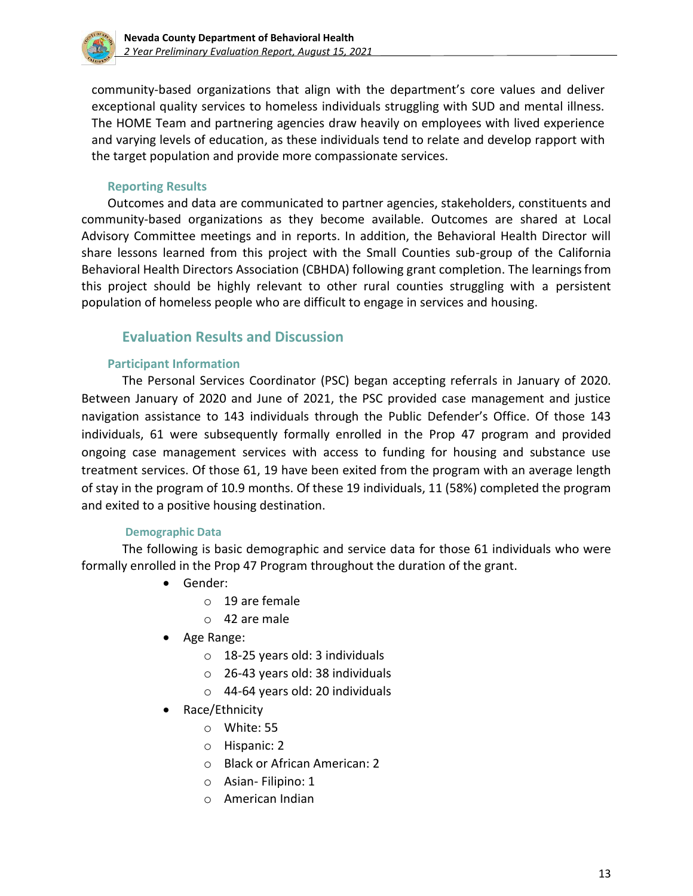

community-based organizations that align with the department's core values and deliver exceptional quality services to homeless individuals struggling with SUD and mental illness. The HOME Team and partnering agencies draw heavily on employees with lived experience and varying levels of education, as these individuals tend to relate and develop rapport with the target population and provide more compassionate services.

#### **Reporting Results**

Outcomes and data are communicated to partner agencies, stakeholders, constituents and community-based organizations as they become available. Outcomes are shared at Local Advisory Committee meetings and in reports. In addition, the Behavioral Health Director will share lessons learned from this project with the Small Counties sub-group of the California Behavioral Health Directors Association (CBHDA) following grant completion. The learningsfrom this project should be highly relevant to other rural counties struggling with a persistent population of homeless people who are difficult to engage in services and housing.

### **Evaluation Results and Discussion**

#### **Participant Information**

The Personal Services Coordinator (PSC) began accepting referrals in January of 2020. Between January of 2020 and June of 2021, the PSC provided case management and justice navigation assistance to 143 individuals through the Public Defender's Office. Of those 143 individuals, 61 were subsequently formally enrolled in the Prop 47 program and provided ongoing case management services with access to funding for housing and substance use treatment services. Of those 61, 19 have been exited from the program with an average length of stay in the program of 10.9 months. Of these 19 individuals, 11 (58%) completed the program and exited to a positive housing destination.

#### **Demographic Data**

The following is basic demographic and service data for those 61 individuals who were formally enrolled in the Prop 47 Program throughout the duration of the grant.

- Gender:
	- o 19 are female
	- o 42 are male
- Age Range:
	- o 18-25 years old: 3 individuals
	- o 26-43 years old: 38 individuals
	- o 44-64 years old: 20 individuals
- Race/Ethnicity
	- o White: 55
	- o Hispanic: 2
	- o Black or African American: 2
	- o Asian- Filipino: 1
	- o American Indian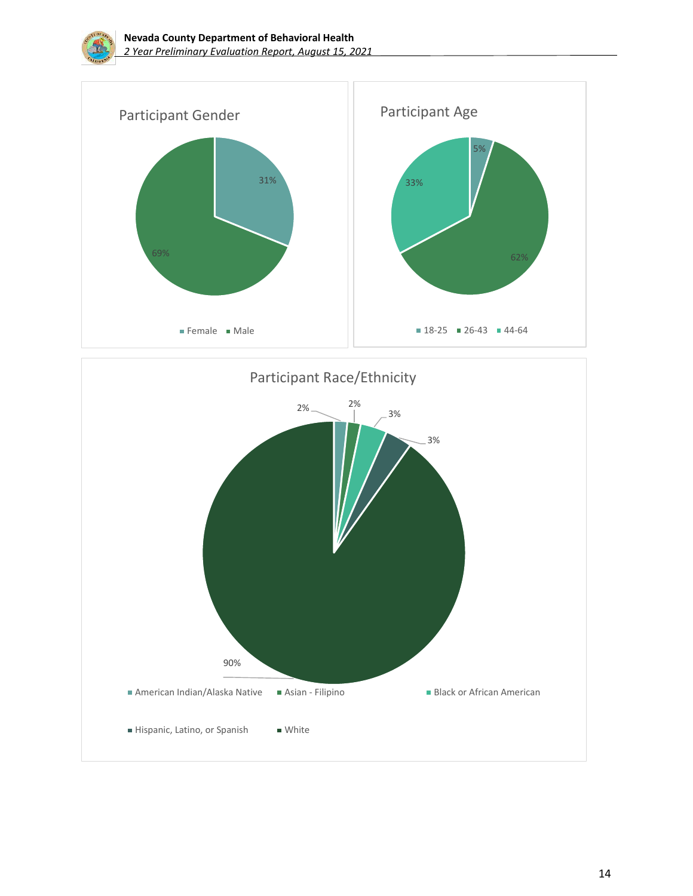

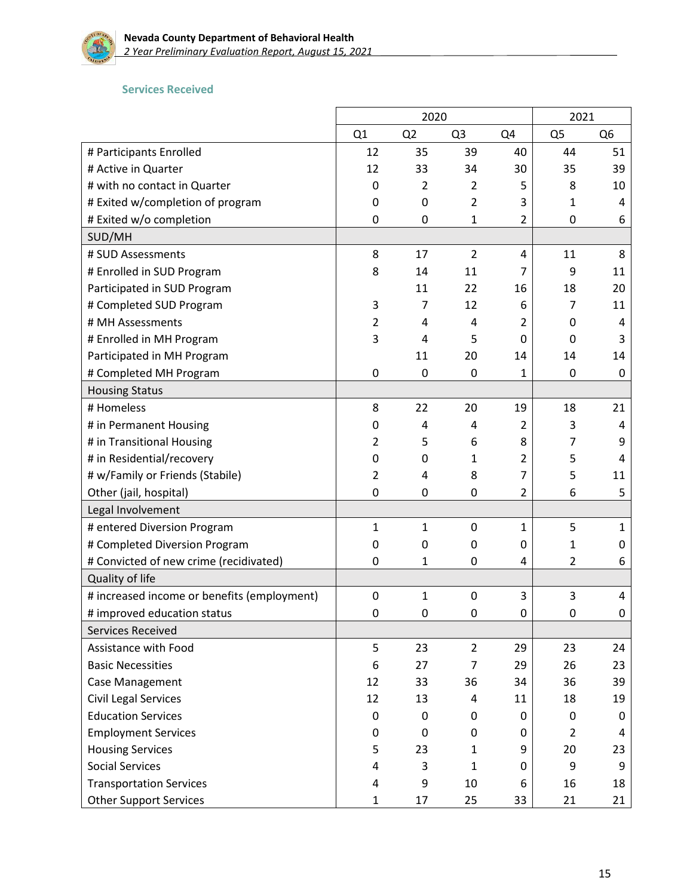

#### **Services Received**

|                                             |                | 2020           |                |                | 2021           |                |
|---------------------------------------------|----------------|----------------|----------------|----------------|----------------|----------------|
|                                             | Q1             | Q <sub>2</sub> | Q <sub>3</sub> | Q4             | Q <sub>5</sub> | Q <sub>6</sub> |
| # Participants Enrolled                     | 12             | 35             | 39             | 40             | 44             | 51             |
| # Active in Quarter                         | 12             | 33             | 34             | 30             | 35             | 39             |
| # with no contact in Quarter                | 0              | 2              | 2              | 5              | 8              | 10             |
| # Exited w/completion of program            | 0              | 0              | $\overline{2}$ | 3              | 1              | 4              |
| # Exited w/o completion                     | 0              | 0              | 1              | $\overline{2}$ | 0              | 6              |
| SUD/MH                                      |                |                |                |                |                |                |
| # SUD Assessments                           | 8              | 17             | $\overline{2}$ | 4              | 11             | 8              |
| # Enrolled in SUD Program                   | 8              | 14             | 11             | 7              | 9              | 11             |
| Participated in SUD Program                 |                | 11             | 22             | 16             | 18             | 20             |
| # Completed SUD Program                     | 3              | 7              | 12             | 6              | 7              | 11             |
| # MH Assessments                            | $\overline{2}$ | 4              | 4              | 2              | 0              | 4              |
| # Enrolled in MH Program                    | 3              | 4              | 5              | 0              | 0              | 3              |
| Participated in MH Program                  |                | 11             | 20             | 14             | 14             | 14             |
| # Completed MH Program                      | 0              | 0              | 0              | 1              | 0              | 0              |
| <b>Housing Status</b>                       |                |                |                |                |                |                |
| # Homeless                                  | 8              | 22             | 20             | 19             | 18             | 21             |
| # in Permanent Housing                      | 0              | 4              | 4              | 2              | 3              | 4              |
| # in Transitional Housing                   | 2              | 5              | 6              | 8              | 7              | 9              |
| # in Residential/recovery                   | 0              | 0              | 1              | 2              | 5              | 4              |
| # w/Family or Friends (Stabile)             | $\overline{2}$ | 4              | 8              | 7              | 5              | 11             |
| Other (jail, hospital)                      | 0              | 0              | 0              | 2              | 6              | 5              |
| Legal Involvement                           |                |                |                |                |                |                |
| # entered Diversion Program                 | $\mathbf{1}$   | 1              | 0              | $\mathbf{1}$   | 5              | 1              |
| # Completed Diversion Program               | 0              | 0              | 0              | 0              | 1              | 0              |
| # Convicted of new crime (recidivated)      | 0              | 1              | $\mathbf{0}$   | 4              | $\overline{2}$ | 6              |
| Quality of life                             |                |                |                |                |                |                |
| # increased income or benefits (employment) | $\mathbf 0$    | 1              | $\mathbf 0$    | 3              | 3              | 4              |
| # improved education status                 | 0              | 0              | 0              | 0              | 0              | 0              |
| Services Received                           |                |                |                |                |                |                |
| Assistance with Food                        | 5              | 23             | $\overline{2}$ | 29             | 23             | 24             |
| <b>Basic Necessities</b>                    | 6              | 27             | $\overline{7}$ | 29             | 26             | 23             |
| <b>Case Management</b>                      | 12             | 33             | 36             | 34             | 36             | 39             |
| <b>Civil Legal Services</b>                 | 12             | 13             | 4              | 11             | 18             | 19             |
| <b>Education Services</b>                   | 0              | 0              | 0              | 0              | 0              | 0              |
| <b>Employment Services</b>                  | 0              | 0              | 0              | 0              | 2              | 4              |
| <b>Housing Services</b>                     | 5              | 23             | 1              | 9              | 20             | 23             |
| <b>Social Services</b>                      | 4              | 3              | $\mathbf{1}$   | 0              | 9              | 9              |
| <b>Transportation Services</b>              | 4              | 9              | 10             | 6              | 16             | 18             |
| <b>Other Support Services</b>               | $\mathbf{1}$   | 17             | 25             | 33             | 21             | 21             |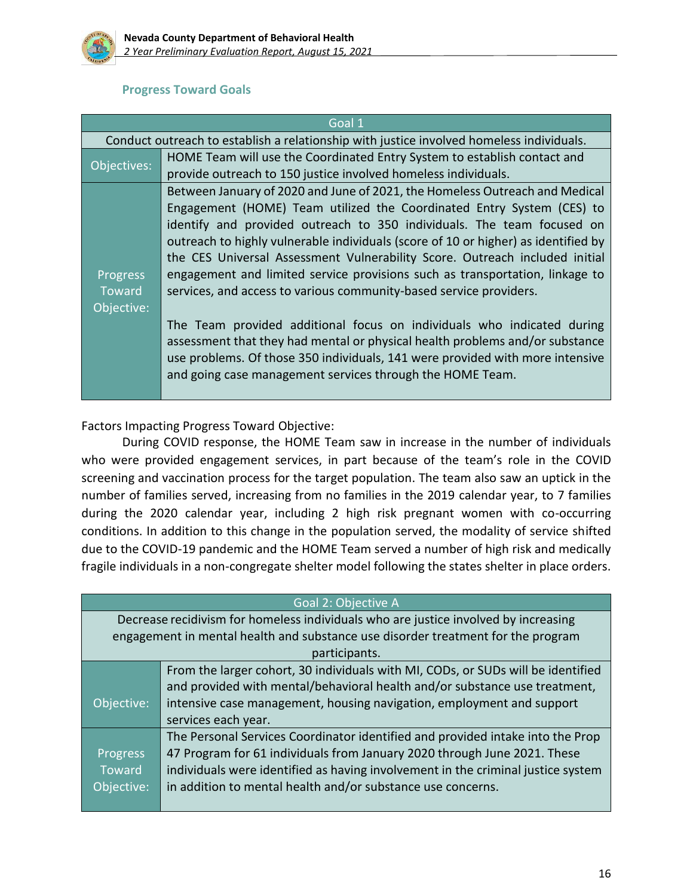

#### **Progress Toward Goals**

|                                         | Goal 1                                                                                                                                                                                                                                                                                                                                                                                                                                                                                                                                                                                                                                                                                                                                                                                                                                                            |
|-----------------------------------------|-------------------------------------------------------------------------------------------------------------------------------------------------------------------------------------------------------------------------------------------------------------------------------------------------------------------------------------------------------------------------------------------------------------------------------------------------------------------------------------------------------------------------------------------------------------------------------------------------------------------------------------------------------------------------------------------------------------------------------------------------------------------------------------------------------------------------------------------------------------------|
|                                         | Conduct outreach to establish a relationship with justice involved homeless individuals.                                                                                                                                                                                                                                                                                                                                                                                                                                                                                                                                                                                                                                                                                                                                                                          |
| Objectives:                             | HOME Team will use the Coordinated Entry System to establish contact and<br>provide outreach to 150 justice involved homeless individuals.                                                                                                                                                                                                                                                                                                                                                                                                                                                                                                                                                                                                                                                                                                                        |
| Progress<br><b>Toward</b><br>Objective: | Between January of 2020 and June of 2021, the Homeless Outreach and Medical<br>Engagement (HOME) Team utilized the Coordinated Entry System (CES) to<br>identify and provided outreach to 350 individuals. The team focused on<br>outreach to highly vulnerable individuals (score of 10 or higher) as identified by<br>the CES Universal Assessment Vulnerability Score. Outreach included initial<br>engagement and limited service provisions such as transportation, linkage to<br>services, and access to various community-based service providers.<br>The Team provided additional focus on individuals who indicated during<br>assessment that they had mental or physical health problems and/or substance<br>use problems. Of those 350 individuals, 141 were provided with more intensive<br>and going case management services through the HOME Team. |

Factors Impacting Progress Toward Objective:

During COVID response, the HOME Team saw in increase in the number of individuals who were provided engagement services, in part because of the team's role in the COVID screening and vaccination process for the target population. The team also saw an uptick in the number of families served, increasing from no families in the 2019 calendar year, to 7 families during the 2020 calendar year, including 2 high risk pregnant women with co-occurring conditions. In addition to this change in the population served, the modality of service shifted due to the COVID-19 pandemic and the HOME Team served a number of high risk and medically fragile individuals in a non-congregate shelter model following the states shelter in place orders.

|            | Goal 2: Objective A                                                                 |  |  |
|------------|-------------------------------------------------------------------------------------|--|--|
|            | Decrease recidivism for homeless individuals who are justice involved by increasing |  |  |
|            | engagement in mental health and substance use disorder treatment for the program    |  |  |
|            | participants.                                                                       |  |  |
|            | From the larger cohort, 30 individuals with MI, CODs, or SUDs will be identified    |  |  |
|            | and provided with mental/behavioral health and/or substance use treatment,          |  |  |
| Objective: | intensive case management, housing navigation, employment and support               |  |  |
|            | services each year.                                                                 |  |  |
|            | The Personal Services Coordinator identified and provided intake into the Prop      |  |  |
| Progress   | 47 Program for 61 individuals from January 2020 through June 2021. These            |  |  |
| Toward     | individuals were identified as having involvement in the criminal justice system    |  |  |
| Objective: | in addition to mental health and/or substance use concerns.                         |  |  |
|            |                                                                                     |  |  |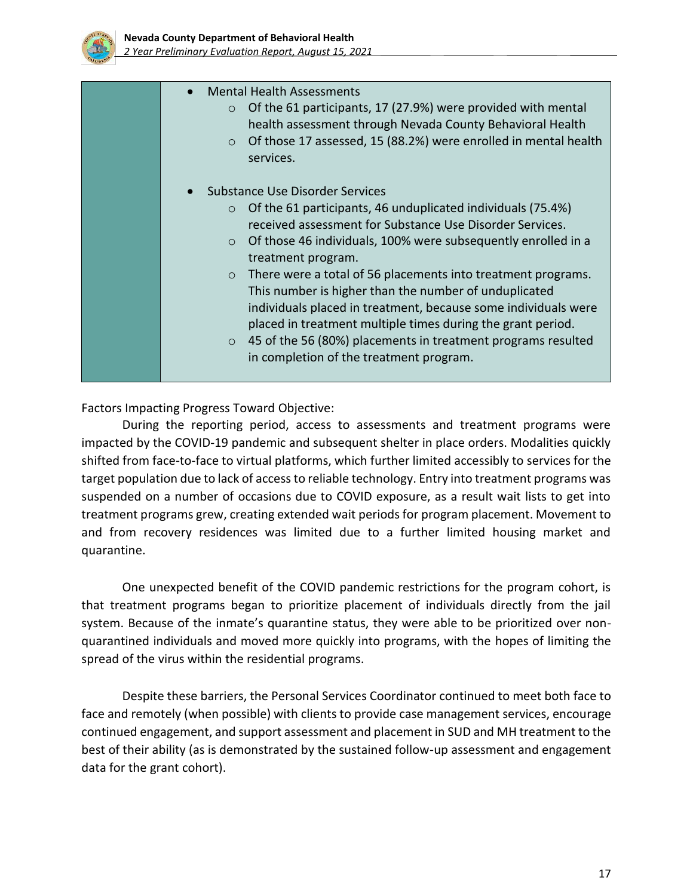

| <b>Mental Health Assessments</b><br>$\circ$ Of the 61 participants, 17 (27.9%) were provided with mental<br>health assessment through Nevada County Behavioral Health<br>$\circ$ Of those 17 assessed, 15 (88.2%) were enrolled in mental health<br>services.                                                                                                                                                                                                                                                                                                                                                                                          |
|--------------------------------------------------------------------------------------------------------------------------------------------------------------------------------------------------------------------------------------------------------------------------------------------------------------------------------------------------------------------------------------------------------------------------------------------------------------------------------------------------------------------------------------------------------------------------------------------------------------------------------------------------------|
| Substance Use Disorder Services<br>$\circ$ Of the 61 participants, 46 unduplicated individuals (75.4%)<br>received assessment for Substance Use Disorder Services.<br>$\circ$ Of those 46 individuals, 100% were subsequently enrolled in a<br>treatment program.<br>$\circ$ There were a total of 56 placements into treatment programs.<br>This number is higher than the number of unduplicated<br>individuals placed in treatment, because some individuals were<br>placed in treatment multiple times during the grant period.<br>$\circ$ 45 of the 56 (80%) placements in treatment programs resulted<br>in completion of the treatment program. |

Factors Impacting Progress Toward Objective:

During the reporting period, access to assessments and treatment programs were impacted by the COVID-19 pandemic and subsequent shelter in place orders. Modalities quickly shifted from face-to-face to virtual platforms, which further limited accessibly to services for the target population due to lack of access to reliable technology. Entry into treatment programs was suspended on a number of occasions due to COVID exposure, as a result wait lists to get into treatment programs grew, creating extended wait periods for program placement. Movement to and from recovery residences was limited due to a further limited housing market and quarantine.

One unexpected benefit of the COVID pandemic restrictions for the program cohort, is that treatment programs began to prioritize placement of individuals directly from the jail system. Because of the inmate's quarantine status, they were able to be prioritized over nonquarantined individuals and moved more quickly into programs, with the hopes of limiting the spread of the virus within the residential programs.

Despite these barriers, the Personal Services Coordinator continued to meet both face to face and remotely (when possible) with clients to provide case management services, encourage continued engagement, and support assessment and placement in SUD and MH treatment to the best of their ability (as is demonstrated by the sustained follow-up assessment and engagement data for the grant cohort).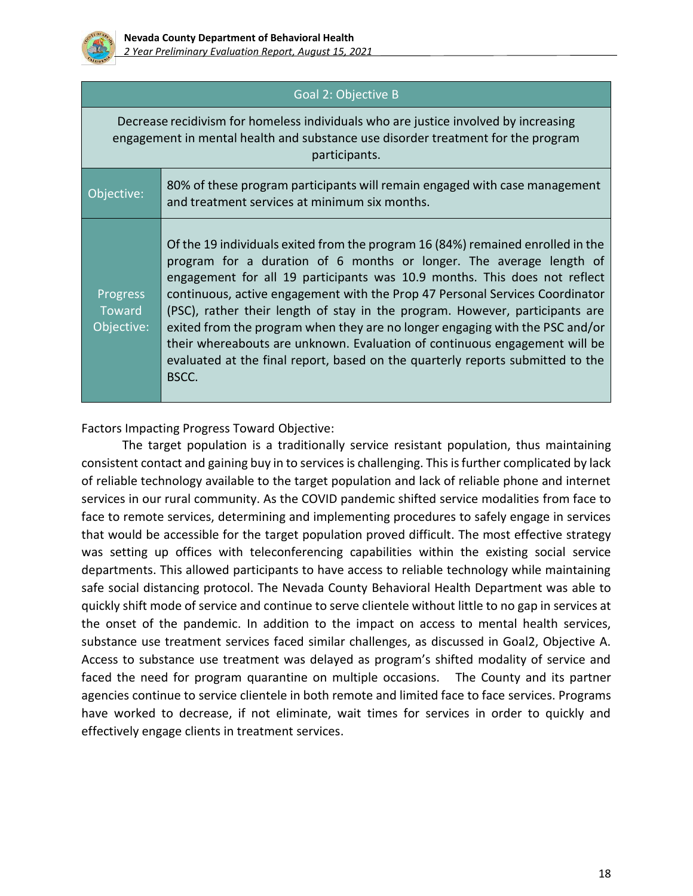

## Goal 2: Objective B

Decrease recidivism for homeless individuals who are justice involved by increasing engagement in mental health and substance use disorder treatment for the program participants.

| Objective:                       | 80% of these program participants will remain engaged with case management<br>and treatment services at minimum six months.                                                                                                                                                                                                                                                                                                                                                                                                                                                                                                                                  |
|----------------------------------|--------------------------------------------------------------------------------------------------------------------------------------------------------------------------------------------------------------------------------------------------------------------------------------------------------------------------------------------------------------------------------------------------------------------------------------------------------------------------------------------------------------------------------------------------------------------------------------------------------------------------------------------------------------|
| Progress<br>Toward<br>Objective: | Of the 19 individuals exited from the program 16 (84%) remained enrolled in the<br>program for a duration of 6 months or longer. The average length of<br>engagement for all 19 participants was 10.9 months. This does not reflect<br>continuous, active engagement with the Prop 47 Personal Services Coordinator<br>(PSC), rather their length of stay in the program. However, participants are<br>exited from the program when they are no longer engaging with the PSC and/or<br>their whereabouts are unknown. Evaluation of continuous engagement will be<br>evaluated at the final report, based on the quarterly reports submitted to the<br>BSCC. |

Factors Impacting Progress Toward Objective:

The target population is a traditionally service resistant population, thus maintaining consistent contact and gaining buy in to services is challenging. This is further complicated by lack of reliable technology available to the target population and lack of reliable phone and internet services in our rural community. As the COVID pandemic shifted service modalities from face to face to remote services, determining and implementing procedures to safely engage in services that would be accessible for the target population proved difficult. The most effective strategy was setting up offices with teleconferencing capabilities within the existing social service departments. This allowed participants to have access to reliable technology while maintaining safe social distancing protocol. The Nevada County Behavioral Health Department was able to quickly shift mode of service and continue to serve clientele without little to no gap in services at the onset of the pandemic. In addition to the impact on access to mental health services, substance use treatment services faced similar challenges, as discussed in Goal2, Objective A. Access to substance use treatment was delayed as program's shifted modality of service and faced the need for program quarantine on multiple occasions. The County and its partner agencies continue to service clientele in both remote and limited face to face services. Programs have worked to decrease, if not eliminate, wait times for services in order to quickly and effectively engage clients in treatment services.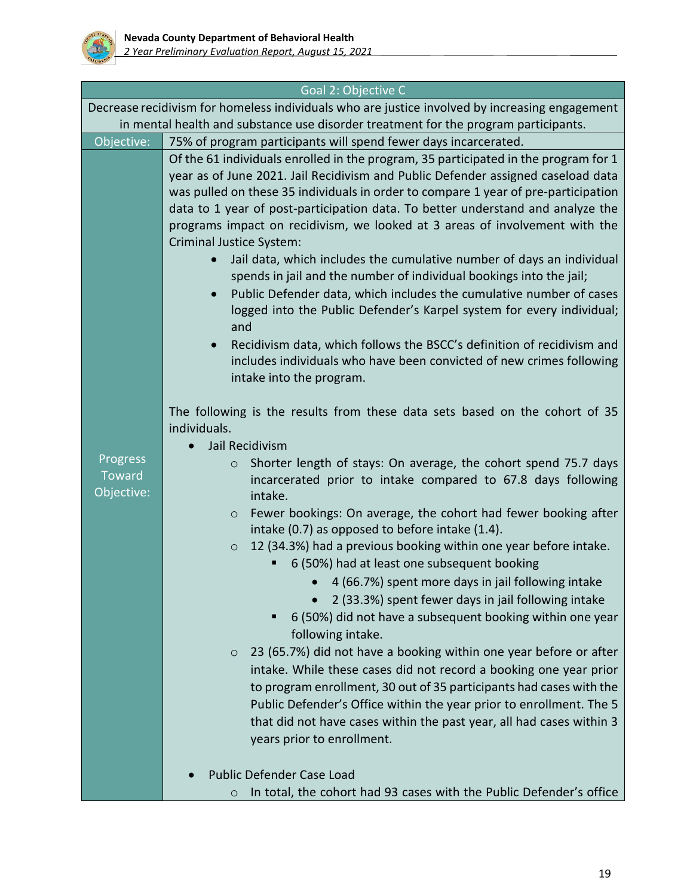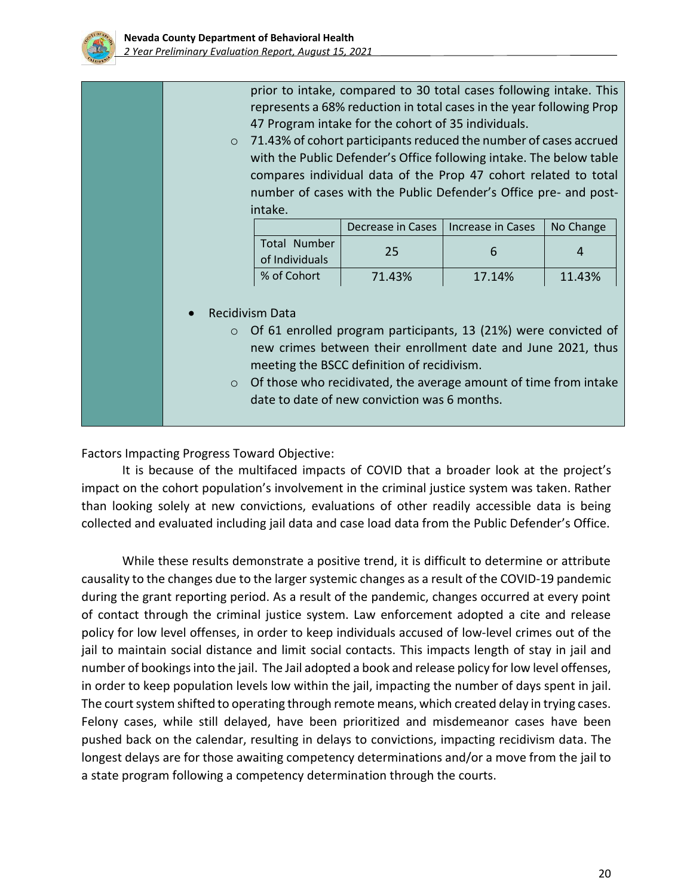

prior to intake, compared to 30 total cases following intake. This represents a 68% reduction in total cases in the year following Prop 47 Program intake for the cohort of 35 individuals.

o 71.43% of cohort participants reduced the number of cases accrued with the Public Defender's Office following intake. The below table compares individual data of the Prop 47 cohort related to total number of cases with the Public Defender's Office pre- and postintake.

|                                | Decrease in Cases | Increase in Cases | No Change |
|--------------------------------|-------------------|-------------------|-----------|
| Total Number<br>of Individuals | 25                |                   |           |
| % of Cohort                    | 71.43%            | 17.14%            | 11.43%    |

- Recidivism Data
	- o Of 61 enrolled program participants, 13 (21%) were convicted of new crimes between their enrollment date and June 2021, thus meeting the BSCC definition of recidivism.
	- o Of those who recidivated, the average amount of time from intake date to date of new conviction was 6 months.

Factors Impacting Progress Toward Objective:

It is because of the multifaced impacts of COVID that a broader look at the project's impact on the cohort population's involvement in the criminal justice system was taken. Rather than looking solely at new convictions, evaluations of other readily accessible data is being collected and evaluated including jail data and case load data from the Public Defender's Office.

While these results demonstrate a positive trend, it is difficult to determine or attribute causality to the changes due to the larger systemic changes as a result of the COVID-19 pandemic during the grant reporting period. As a result of the pandemic, changes occurred at every point of contact through the criminal justice system. Law enforcement adopted a cite and release policy for low level offenses, in order to keep individuals accused of low-level crimes out of the jail to maintain social distance and limit social contacts. This impacts length of stay in jail and number of bookings into the jail. The Jail adopted a book and release policy for low level offenses, in order to keep population levels low within the jail, impacting the number of days spent in jail. The court system shifted to operating through remote means, which created delay in trying cases. Felony cases, while still delayed, have been prioritized and misdemeanor cases have been pushed back on the calendar, resulting in delays to convictions, impacting recidivism data. The longest delays are for those awaiting competency determinations and/or a move from the jail to a state program following a competency determination through the courts.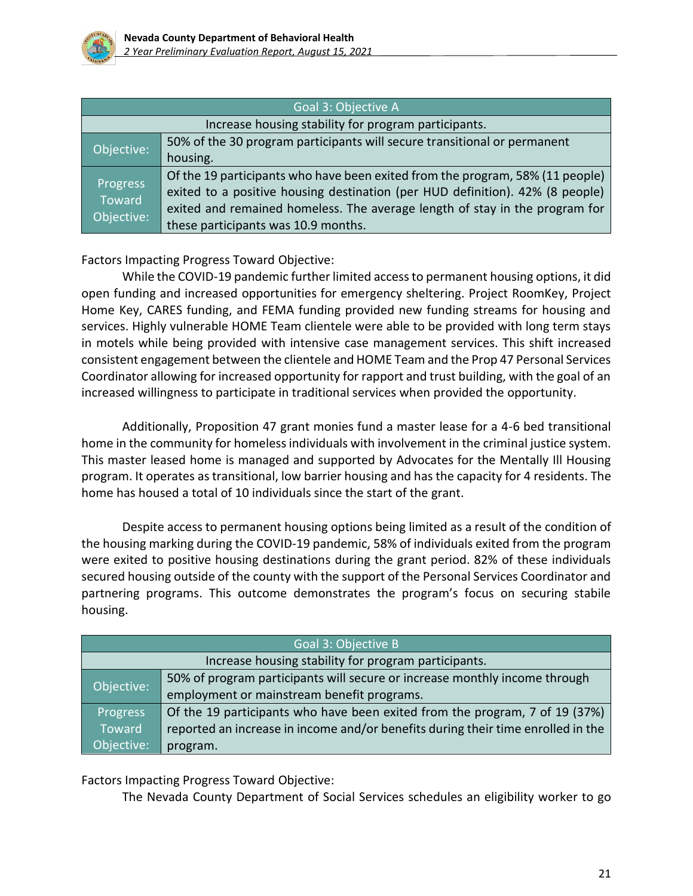

| Goal 3: Objective A                                  |                                                                                                                                                                                                                                                                                      |  |
|------------------------------------------------------|--------------------------------------------------------------------------------------------------------------------------------------------------------------------------------------------------------------------------------------------------------------------------------------|--|
| Increase housing stability for program participants. |                                                                                                                                                                                                                                                                                      |  |
| Objective:                                           | 50% of the 30 program participants will secure transitional or permanent<br>housing.                                                                                                                                                                                                 |  |
| Progress<br>Toward<br>Objective:                     | Of the 19 participants who have been exited from the program, 58% (11 people)<br>exited to a positive housing destination (per HUD definition). 42% (8 people)<br>exited and remained homeless. The average length of stay in the program for<br>these participants was 10.9 months. |  |

Factors Impacting Progress Toward Objective:

While the COVID-19 pandemic further limited access to permanent housing options, it did open funding and increased opportunities for emergency sheltering. Project RoomKey, Project Home Key, CARES funding, and FEMA funding provided new funding streams for housing and services. Highly vulnerable HOME Team clientele were able to be provided with long term stays in motels while being provided with intensive case management services. This shift increased consistent engagement between the clientele and HOME Team and the Prop 47 Personal Services Coordinator allowing for increased opportunity for rapport and trust building, with the goal of an increased willingness to participate in traditional services when provided the opportunity.

Additionally, Proposition 47 grant monies fund a master lease for a 4-6 bed transitional home in the community for homeless individuals with involvement in the criminal justice system. This master leased home is managed and supported by Advocates for the Mentally Ill Housing program. It operates as transitional, low barrier housing and has the capacity for 4 residents. The home has housed a total of 10 individuals since the start of the grant.

Despite access to permanent housing options being limited as a result of the condition of the housing marking during the COVID-19 pandemic, 58% of individuals exited from the program were exited to positive housing destinations during the grant period. 82% of these individuals secured housing outside of the county with the support of the Personal Services Coordinator and partnering programs. This outcome demonstrates the program's focus on securing stabile housing.

| Goal 3: Objective B                                  |                                                                                  |  |
|------------------------------------------------------|----------------------------------------------------------------------------------|--|
| Increase housing stability for program participants. |                                                                                  |  |
| Objective:                                           | 50% of program participants will secure or increase monthly income through       |  |
|                                                      | employment or mainstream benefit programs.                                       |  |
| Progress                                             | Of the 19 participants who have been exited from the program, 7 of 19 (37%)      |  |
| <b>Toward</b>                                        | reported an increase in income and/or benefits during their time enrolled in the |  |
| Objective:                                           | program.                                                                         |  |

Factors Impacting Progress Toward Objective:

The Nevada County Department of Social Services schedules an eligibility worker to go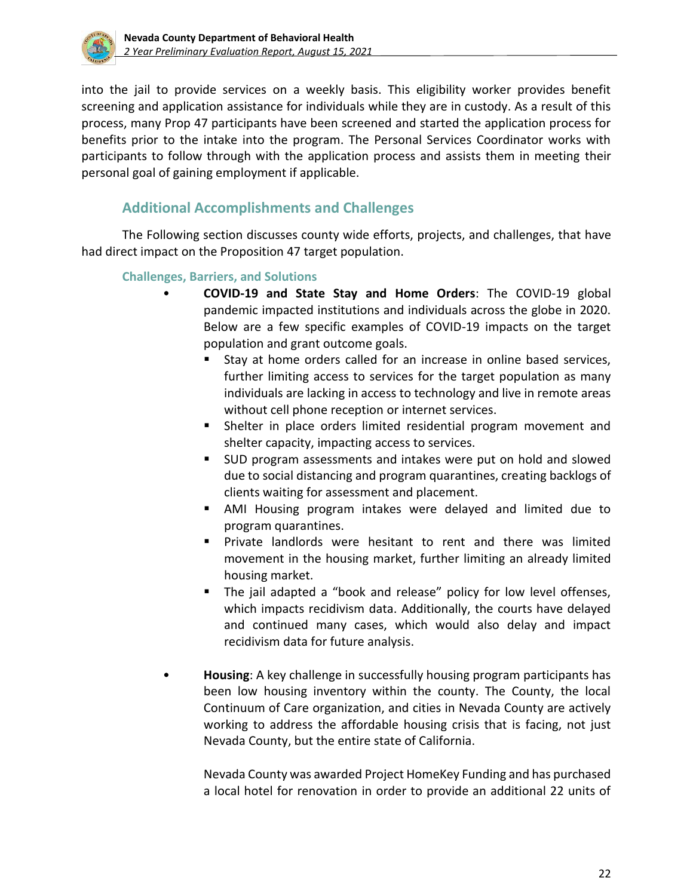

into the jail to provide services on a weekly basis. This eligibility worker provides benefit screening and application assistance for individuals while they are in custody. As a result of this process, many Prop 47 participants have been screened and started the application process for benefits prior to the intake into the program. The Personal Services Coordinator works with participants to follow through with the application process and assists them in meeting their personal goal of gaining employment if applicable.

## **Additional Accomplishments and Challenges**

The Following section discusses county wide efforts, projects, and challenges, that have had direct impact on the Proposition 47 target population.

### **Challenges, Barriers, and Solutions**

- **COVID-19 and State Stay and Home Orders**: The COVID-19 global pandemic impacted institutions and individuals across the globe in 2020. Below are a few specific examples of COVID-19 impacts on the target population and grant outcome goals.
	- Stay at home orders called for an increase in online based services, further limiting access to services for the target population as many individuals are lacking in access to technology and live in remote areas without cell phone reception or internet services.
	- Shelter in place orders limited residential program movement and shelter capacity, impacting access to services.
	- SUD program assessments and intakes were put on hold and slowed due to social distancing and program quarantines, creating backlogs of clients waiting for assessment and placement.
	- AMI Housing program intakes were delayed and limited due to program quarantines.
	- Private landlords were hesitant to rent and there was limited movement in the housing market, further limiting an already limited housing market.
	- The jail adapted a "book and release" policy for low level offenses, which impacts recidivism data. Additionally, the courts have delayed and continued many cases, which would also delay and impact recidivism data for future analysis.
- **Housing**: A key challenge in successfully housing program participants has been low housing inventory within the county. The County, the local Continuum of Care organization, and cities in Nevada County are actively working to address the affordable housing crisis that is facing, not just Nevada County, but the entire state of California.

Nevada County was awarded Project HomeKey Funding and has purchased a local hotel for renovation in order to provide an additional 22 units of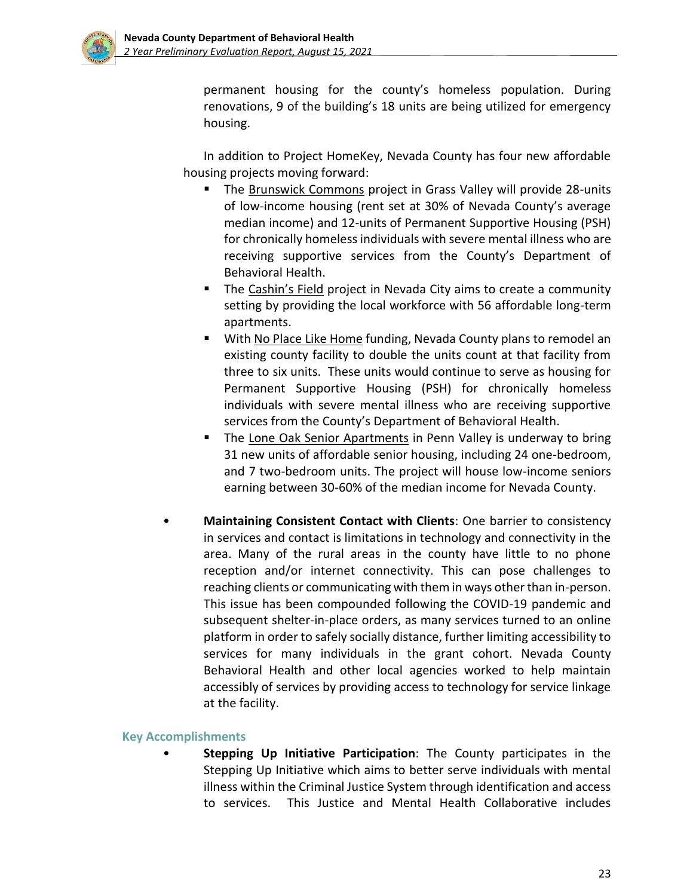

permanent housing for the county's homeless population. During renovations, 9 of the building's 18 units are being utilized for emergency housing.

In addition to Project HomeKey, Nevada County has four new affordable housing projects moving forward:

- The Brunswick Commons project in Grass Valley will provide 28-units of low-income housing (rent set at 30% of Nevada County's average median income) and 12-units of Permanent Supportive Housing (PSH) for chronically homeless individuals with severe mental illness who are receiving supportive services from the County's Department of Behavioral Health.
- The Cashin's Field project in Nevada City aims to create a community setting by providing the local workforce with 56 affordable long-term apartments.
- With No Place Like Home funding, Nevada County plans to remodel an existing county facility to double the units count at that facility from three to six units. These units would continue to serve as housing for Permanent Supportive Housing (PSH) for chronically homeless individuals with severe mental illness who are receiving supportive services from the County's Department of Behavioral Health.
- The Lone Oak Senior Apartments in Penn Valley is underway to bring 31 new units of affordable senior housing, including 24 one-bedroom, and 7 two-bedroom units. The project will house low-income seniors earning between 30-60% of the median income for Nevada County.
- **Maintaining Consistent Contact with Clients**: One barrier to consistency in services and contact is limitations in technology and connectivity in the area. Many of the rural areas in the county have little to no phone reception and/or internet connectivity. This can pose challenges to reaching clients or communicating with them in ways other than in-person. This issue has been compounded following the COVID-19 pandemic and subsequent shelter-in-place orders, as many services turned to an online platform in order to safely socially distance, further limiting accessibility to services for many individuals in the grant cohort. Nevada County Behavioral Health and other local agencies worked to help maintain accessibly of services by providing access to technology for service linkage at the facility.

#### **Key Accomplishments**

• **Stepping Up Initiative Participation**: The County participates in the Stepping Up Initiative which aims to better serve individuals with mental illness within the Criminal Justice System through identification and access to services. This Justice and Mental Health Collaborative includes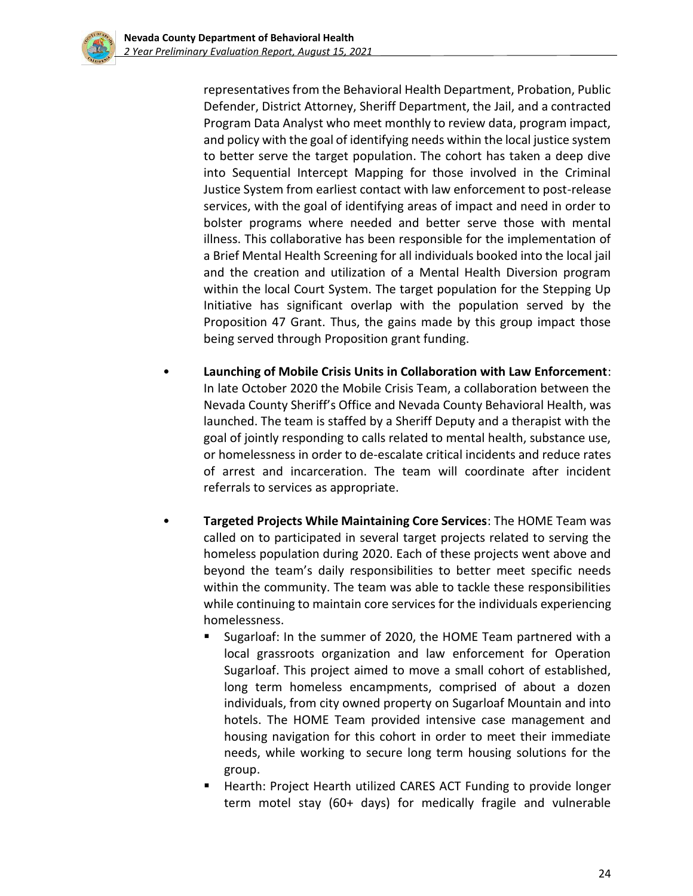representatives from the Behavioral Health Department, Probation, Public Defender, District Attorney, Sheriff Department, the Jail, and a contracted Program Data Analyst who meet monthly to review data, program impact, and policy with the goal of identifying needs within the local justice system to better serve the target population. The cohort has taken a deep dive into Sequential Intercept Mapping for those involved in the Criminal Justice System from earliest contact with law enforcement to post-release services, with the goal of identifying areas of impact and need in order to bolster programs where needed and better serve those with mental illness. This collaborative has been responsible for the implementation of a Brief Mental Health Screening for all individuals booked into the local jail and the creation and utilization of a Mental Health Diversion program within the local Court System. The target population for the Stepping Up Initiative has significant overlap with the population served by the Proposition 47 Grant. Thus, the gains made by this group impact those being served through Proposition grant funding.

- **Launching of Mobile Crisis Units in Collaboration with Law Enforcement**: In late October 2020 the Mobile Crisis Team, a collaboration between the Nevada County Sheriff's Office and Nevada County Behavioral Health, was launched. The team is staffed by a Sheriff Deputy and a therapist with the goal of jointly responding to calls related to mental health, substance use, or homelessness in order to de-escalate critical incidents and reduce rates of arrest and incarceration. The team will coordinate after incident referrals to services as appropriate.
- **Targeted Projects While Maintaining Core Services**: The HOME Team was called on to participated in several target projects related to serving the homeless population during 2020. Each of these projects went above and beyond the team's daily responsibilities to better meet specific needs within the community. The team was able to tackle these responsibilities while continuing to maintain core services for the individuals experiencing homelessness.
	- Sugarloaf: In the summer of 2020, the HOME Team partnered with a local grassroots organization and law enforcement for Operation Sugarloaf. This project aimed to move a small cohort of established, long term homeless encampments, comprised of about a dozen individuals, from city owned property on Sugarloaf Mountain and into hotels. The HOME Team provided intensive case management and housing navigation for this cohort in order to meet their immediate needs, while working to secure long term housing solutions for the group.
	- Hearth: Project Hearth utilized CARES ACT Funding to provide longer term motel stay (60+ days) for medically fragile and vulnerable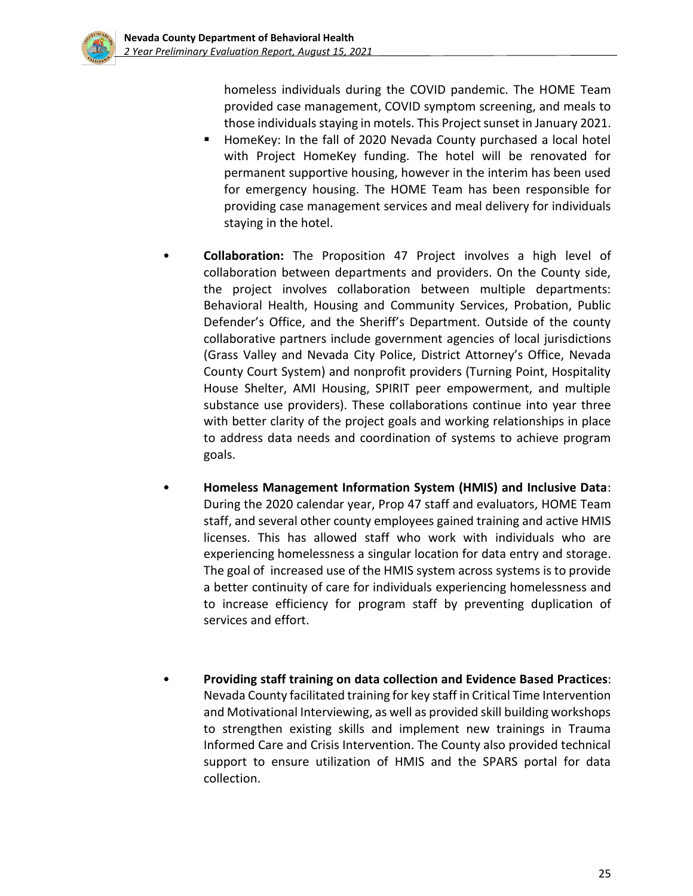homeless individuals during the COVID pandemic. The HOME Team provided case management, COVID symptom screening, and meals to those individuals staying in motels. This Project sunset in January 2021.

- HomeKey: In the fall of 2020 Nevada County purchased a local hotel with Project HomeKey funding. The hotel will be renovated for permanent supportive housing, however in the interim has been used for emergency housing. The HOME Team has been responsible for providing case management services and meal delivery for individuals staying in the hotel.
- **Collaboration:** The Proposition 47 Project involves a high level of collaboration between departments and providers. On the County side, the project involves collaboration between multiple departments: Behavioral Health, Housing and Community Services, Probation, Public Defender's Office, and the Sheriff's Department. Outside of the county collaborative partners include government agencies of local jurisdictions (Grass Valley and Nevada City Police, District Attorney's Office, Nevada County Court System) and nonprofit providers (Turning Point, Hospitality House Shelter, AMI Housing, SPIRIT peer empowerment, and multiple substance use providers). These collaborations continue into year three with better clarity of the project goals and working relationships in place to address data needs and coordination of systems to achieve program goals.
- **Homeless Management Information System (HMIS) and Inclusive Data**: During the 2020 calendar year, Prop 47 staff and evaluators, HOME Team staff, and several other county employees gained training and active HMIS licenses. This has allowed staff who work with individuals who are experiencing homelessness a singular location for data entry and storage. The goal of increased use of the HMIS system across systems is to provide a better continuity of care for individuals experiencing homelessness and to increase efficiency for program staff by preventing duplication of services and effort.
- **Providing staff training on data collection and Evidence Based Practices**: Nevada County facilitated training for key staff in Critical Time Intervention and Motivational Interviewing, as well as provided skill building workshops to strengthen existing skills and implement new trainings in Trauma Informed Care and Crisis Intervention. The County also provided technical support to ensure utilization of HMIS and the SPARS portal for data collection.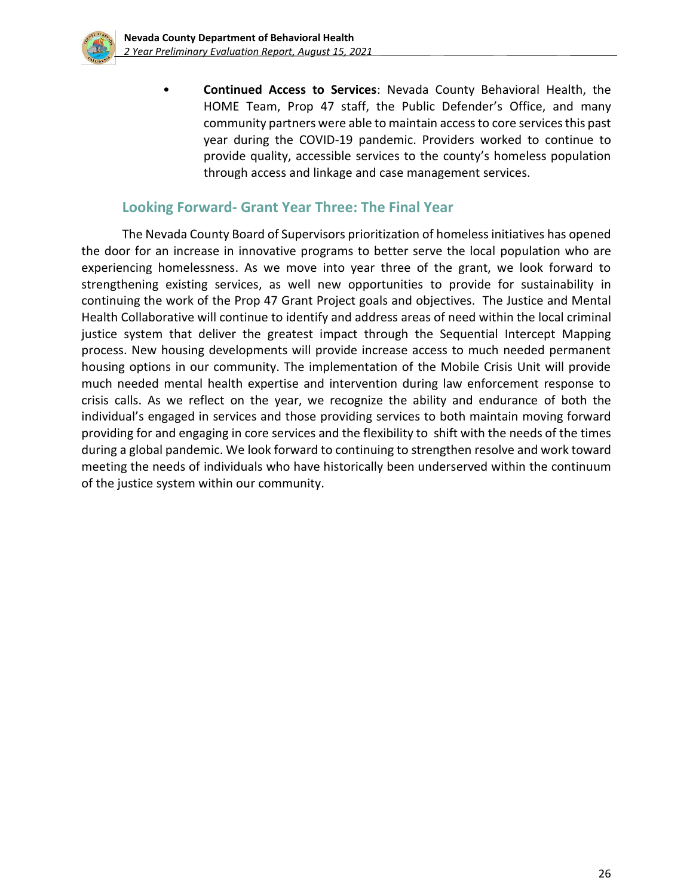

• **Continued Access to Services**: Nevada County Behavioral Health, the HOME Team, Prop 47 staff, the Public Defender's Office, and many community partners were able to maintain access to core services this past year during the COVID-19 pandemic. Providers worked to continue to provide quality, accessible services to the county's homeless population through access and linkage and case management services.

### **Looking Forward- Grant Year Three: The Final Year**

The Nevada County Board of Supervisors prioritization of homeless initiatives has opened the door for an increase in innovative programs to better serve the local population who are experiencing homelessness. As we move into year three of the grant, we look forward to strengthening existing services, as well new opportunities to provide for sustainability in continuing the work of the Prop 47 Grant Project goals and objectives. The Justice and Mental Health Collaborative will continue to identify and address areas of need within the local criminal justice system that deliver the greatest impact through the Sequential Intercept Mapping process. New housing developments will provide increase access to much needed permanent housing options in our community. The implementation of the Mobile Crisis Unit will provide much needed mental health expertise and intervention during law enforcement response to crisis calls. As we reflect on the year, we recognize the ability and endurance of both the individual's engaged in services and those providing services to both maintain moving forward providing for and engaging in core services and the flexibility to shift with the needs of the times during a global pandemic. We look forward to continuing to strengthen resolve and work toward meeting the needs of individuals who have historically been underserved within the continuum of the justice system within our community.